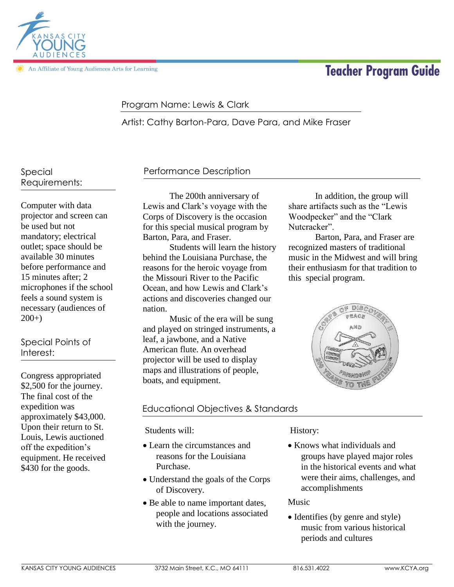

An Affiliate of Young Audiences Arts for Learning

# **Teacher Program Guide**

# Program Name: Lewis & Clark

Artist: Cathy Barton-Para, Dave Para, and Mike Fraser

# Special Requirements:

Computer with data projector and screen can be used but not mandatory; electrical outlet; space should be available 30 minutes before performance and 15 minutes after; 2 microphones if the school feels a sound system is necessary (audiences of  $200+)$ 

# Special Points of Interest:

Congress appropriated \$2,500 for the journey. The final cost of the expedition was approximately \$43,000. Upon their return to St. Louis, Lewis auctioned off the expedition's equipment. He received \$430 for the goods.

# Performance Description

The 200th anniversary of Lewis and Clark's voyage with the Corps of Discovery is the occasion for this special musical program by Barton, Para, and Fraser.

Students will learn the history behind the Louisiana Purchase, the reasons for the heroic voyage from the Missouri River to the Pacific Ocean, and how Lewis and Clark's actions and discoveries changed our nation.

Music of the era will be sung and played on stringed instruments, a leaf, a jawbone, and a Native American flute. An overhead projector will be used to display maps and illustrations of people, boats, and equipment.

# Educational Objectives & Standards

Students will:

- Learn the circumstances and reasons for the Louisiana Purchase.
- Understand the goals of the Corps of Discovery.
- Be able to name important dates, people and locations associated with the journey.

# History:

• Knows what individuals and groups have played major roles in the historical events and what were their aims, challenges, and accomplishments

#### Music

• Identifies (by genre and style) music from various historical periods and cultures

In addition, the group will share artifacts such as the "Lewis Woodpecker" and the "Clark Nutcracker".

Barton, Para, and Fraser are recognized masters of traditional music in the Midwest and will bring their enthusiasm for that tradition to this special program.